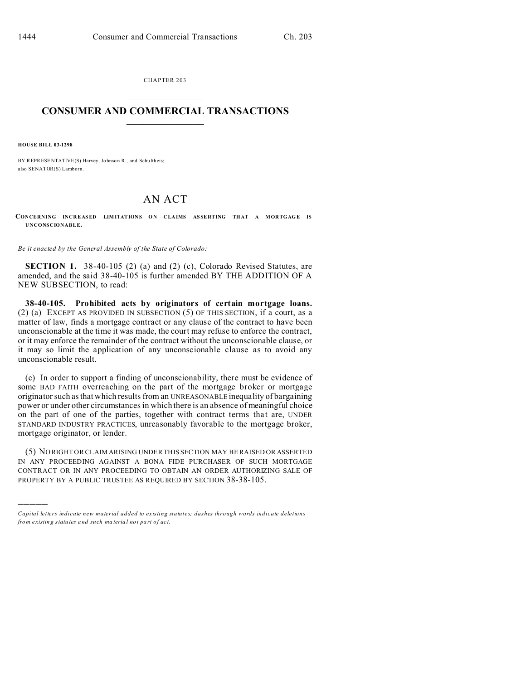CHAPTER 203  $\overline{\phantom{a}}$  , where  $\overline{\phantom{a}}$ 

## **CONSUMER AND COMMERCIAL TRANSACTIONS**  $\_$   $\_$   $\_$   $\_$   $\_$   $\_$   $\_$   $\_$

**HOUSE BILL 03-1298**

)))))

BY REPRESENTATIVE(S) Harvey, Johnson R., and Schultheis; also SENATOR(S) Lamborn.

## AN ACT

**CONCERNING INCREASED LIM ITATION S O N CLA IMS AS SE RTING THAT A MOR TGAG E IS UNCONSCIONABLE.**

*Be it enacted by the General Assembly of the State of Colorado:*

**SECTION 1.** 38-40-105 (2) (a) and (2) (c), Colorado Revised Statutes, are amended, and the said 38-40-105 is further amended BY THE ADDITION OF A NEW SUBSECTION, to read:

**38-40-105. Prohibited acts by originators of certain mortgage loans.** (2) (a) EXCEPT AS PROVIDED IN SUBSECTION (5) OF THIS SECTION, if a court, as a matter of law, finds a mortgage contract or any clause of the contract to have been unconscionable at the time it was made, the court may refuse to enforce the contract, or it may enforce the remainder of the contract without the unconscionable clause, or it may so limit the application of any unconscionable clause as to avoid any unconscionable result.

(c) In order to support a finding of unconscionability, there must be evidence of some BAD FAITH overreaching on the part of the mortgage broker or mortgage originator such as that which results from an UNREASONABLE inequality of bargaining power or under other circumstances in which there is an absence of meaningful choice on the part of one of the parties, together with contract terms that are, UNDER STANDARD INDUSTRY PRACTICES, unreasonably favorable to the mortgage broker, mortgage originator, or lender.

(5) NO RIGHT OR CLAIM ARISING UNDER THIS SECTION MAY BE RAISED OR ASSERTED IN ANY PROCEEDING AGAINST A BONA FIDE PURCHASER OF SUCH MORTGAGE CONTRACT OR IN ANY PROCEEDING TO OBTAIN AN ORDER AUTHORIZING SALE OF PROPERTY BY A PUBLIC TRUSTEE AS REQUIRED BY SECTION 38-38-105.

*Capital letters indicate new material added to existing statutes; dashes through words indicate deletions from e xistin g statu tes a nd such ma teria l no t pa rt of ac t.*